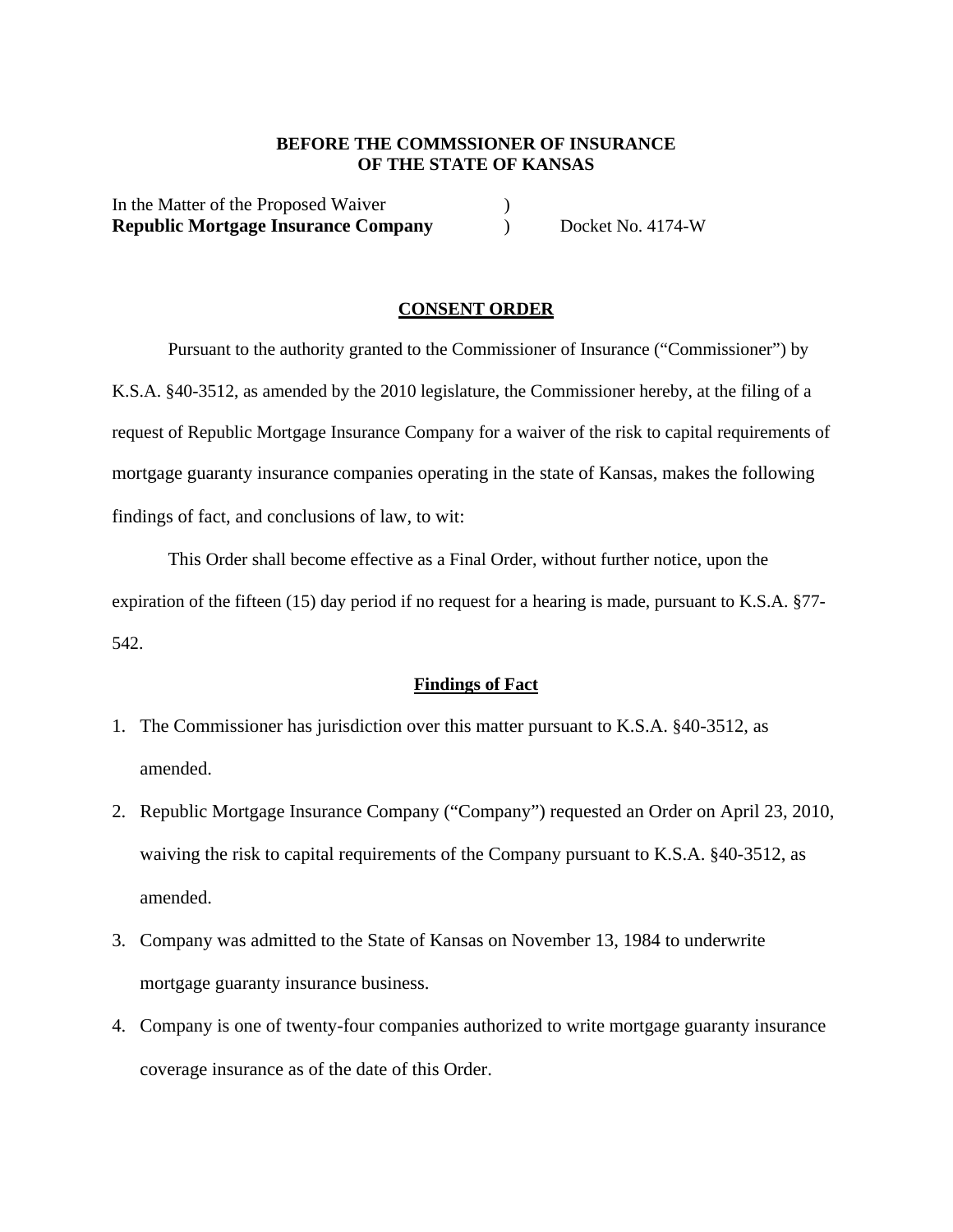### **BEFORE THE COMMSSIONER OF INSURANCE OF THE STATE OF KANSAS**

In the Matter of the Proposed Waiver (1) **Republic Mortgage Insurance Company**  $Docket No. 4174-W$ 

#### **CONSENT ORDER**

Pursuant to the authority granted to the Commissioner of Insurance ("Commissioner") by K.S.A. §40-3512, as amended by the 2010 legislature, the Commissioner hereby, at the filing of a request of Republic Mortgage Insurance Company for a waiver of the risk to capital requirements of mortgage guaranty insurance companies operating in the state of Kansas, makes the following findings of fact, and conclusions of law, to wit:

This Order shall become effective as a Final Order, without further notice, upon the expiration of the fifteen (15) day period if no request for a hearing is made, pursuant to K.S.A. §77- 542.

### **Findings of Fact**

- 1. The Commissioner has jurisdiction over this matter pursuant to K.S.A. §40-3512, as amended.
- 2. Republic Mortgage Insurance Company ("Company") requested an Order on April 23, 2010, waiving the risk to capital requirements of the Company pursuant to K.S.A. §40-3512, as amended.
- 3. Company was admitted to the State of Kansas on November 13, 1984 to underwrite mortgage guaranty insurance business.
- 4. Company is one of twenty-four companies authorized to write mortgage guaranty insurance coverage insurance as of the date of this Order.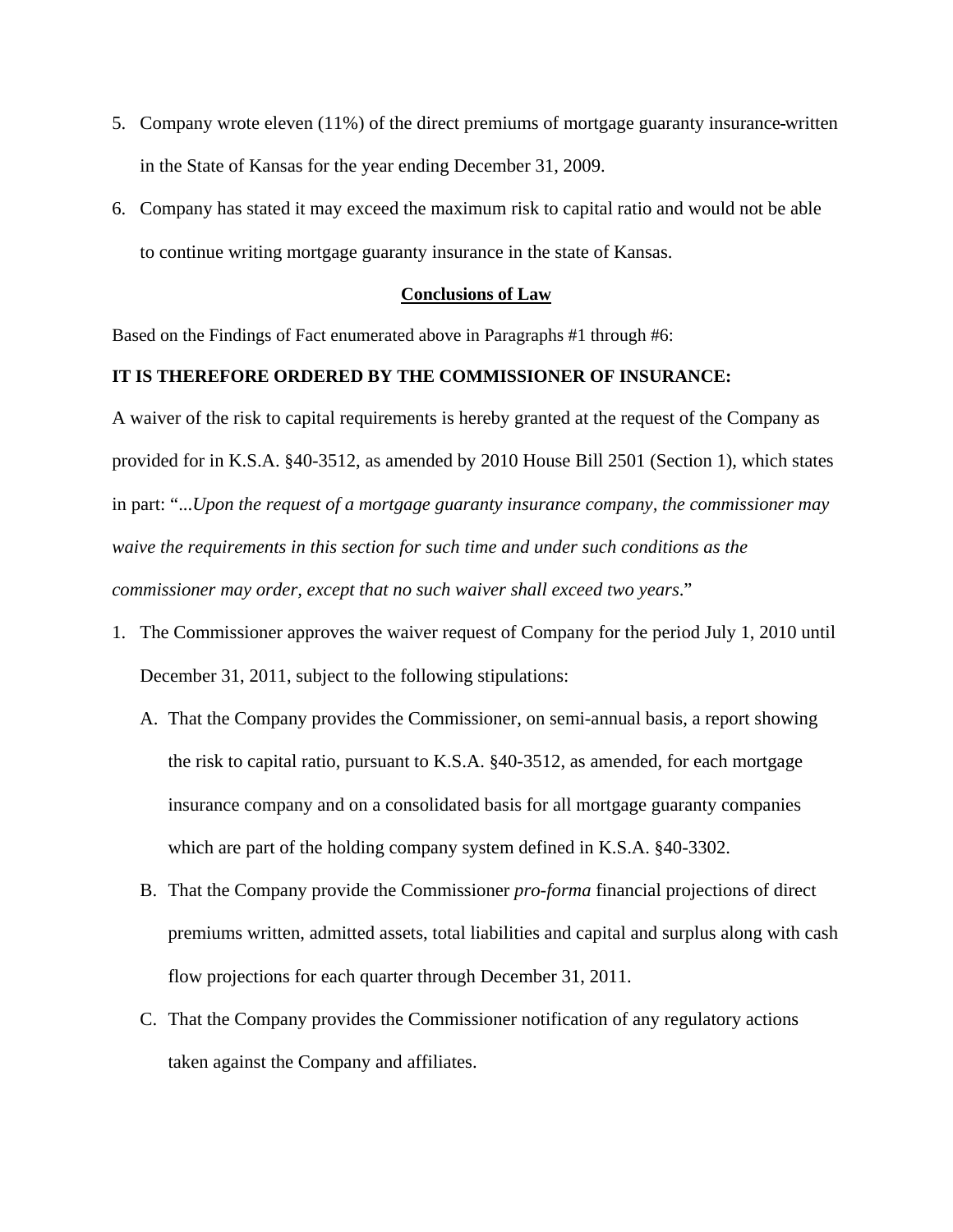- 5. Company wrote eleven (11%) of the direct premiums of mortgage guaranty insurance written in the State of Kansas for the year ending December 31, 2009.
- 6. Company has stated it may exceed the maximum risk to capital ratio and would not be able to continue writing mortgage guaranty insurance in the state of Kansas.

### **Conclusions of Law**

Based on the Findings of Fact enumerated above in Paragraphs #1 through #6:

## **IT IS THEREFORE ORDERED BY THE COMMISSIONER OF INSURANCE:**

A waiver of the risk to capital requirements is hereby granted at the request of the Company as provided for in K.S.A. §40-3512, as amended by 2010 House Bill 2501 (Section 1), which states in part: "...*Upon the request of a mortgage guaranty insurance company, the commissioner may waive the requirements in this section for such time and under such conditions as the commissioner may order, except that no such waiver shall exceed two years*."

- 1. The Commissioner approves the waiver request of Company for the period July 1, 2010 until December 31, 2011, subject to the following stipulations:
	- A. That the Company provides the Commissioner, on semi-annual basis, a report showing the risk to capital ratio, pursuant to K.S.A. §40-3512, as amended, for each mortgage insurance company and on a consolidated basis for all mortgage guaranty companies which are part of the holding company system defined in K.S.A. §40-3302.
	- B. That the Company provide the Commissioner *pro-forma* financial projections of direct premiums written, admitted assets, total liabilities and capital and surplus along with cash flow projections for each quarter through December 31, 2011.
	- C. That the Company provides the Commissioner notification of any regulatory actions taken against the Company and affiliates.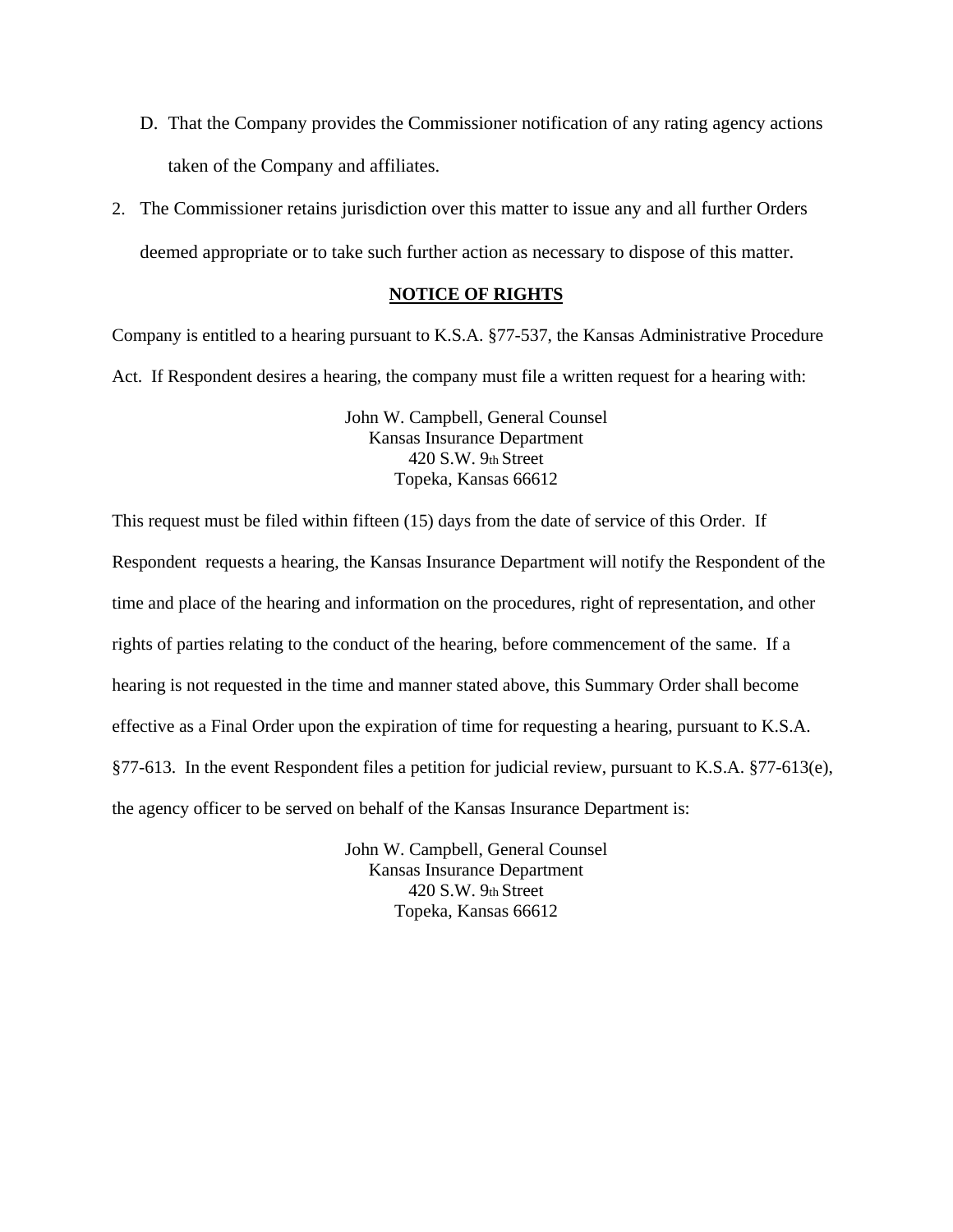- D. That the Company provides the Commissioner notification of any rating agency actions taken of the Company and affiliates.
- 2. The Commissioner retains jurisdiction over this matter to issue any and all further Orders deemed appropriate or to take such further action as necessary to dispose of this matter.

## **NOTICE OF RIGHTS**

Company is entitled to a hearing pursuant to K.S.A. §77-537, the Kansas Administrative Procedure Act. If Respondent desires a hearing, the company must file a written request for a hearing with:

> John W. Campbell, General Counsel Kansas Insurance Department 420 S.W. 9th Street Topeka, Kansas 66612

This request must be filed within fifteen (15) days from the date of service of this Order. If Respondent requests a hearing, the Kansas Insurance Department will notify the Respondent of the time and place of the hearing and information on the procedures, right of representation, and other rights of parties relating to the conduct of the hearing, before commencement of the same. If a hearing is not requested in the time and manner stated above, this Summary Order shall become effective as a Final Order upon the expiration of time for requesting a hearing, pursuant to K.S.A. §77-613. In the event Respondent files a petition for judicial review, pursuant to K.S.A. §77-613(e), the agency officer to be served on behalf of the Kansas Insurance Department is:

> John W. Campbell, General Counsel Kansas Insurance Department 420 S.W. 9th Street Topeka, Kansas 66612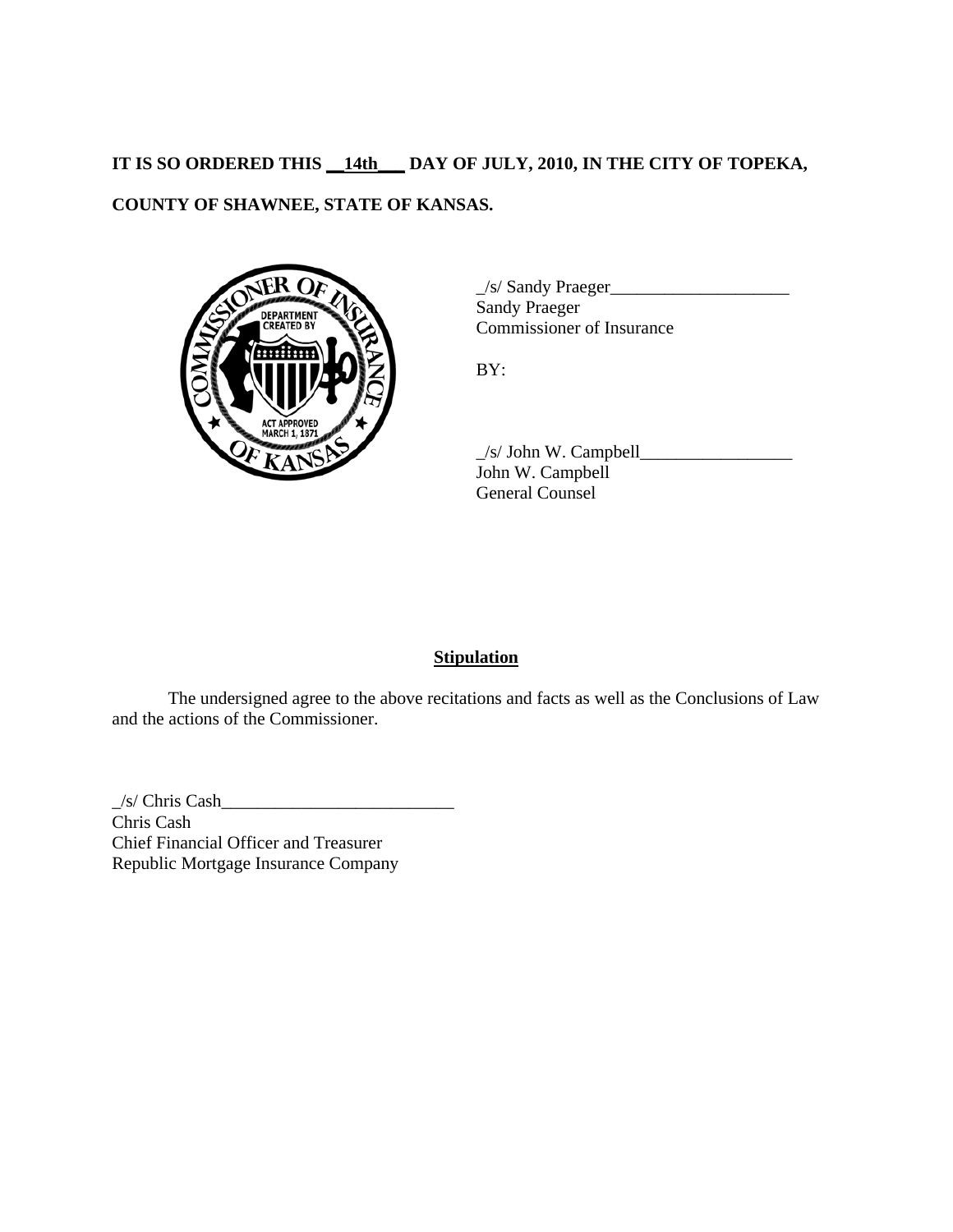# **IT IS SO ORDERED THIS \_\_14th\_\_\_ DAY OF JULY, 2010, IN THE CITY OF TOPEKA,**

# **COUNTY OF SHAWNEE, STATE OF KANSAS.**



\_/s/ Sandy Praeger\_\_\_\_\_\_\_\_\_\_\_\_\_\_\_\_\_\_\_\_ Sandy Praeger Commissioner of Insurance

BY:

 $\angle$ s/ John W. Campbell $\angle$ John W. Campbell General Counsel

# **Stipulation**

 The undersigned agree to the above recitations and facts as well as the Conclusions of Law and the actions of the Commissioner.

 $\angle$ /s/ Chris Cash $\angle$ Chris Cash Chief Financial Officer and Treasurer Republic Mortgage Insurance Company